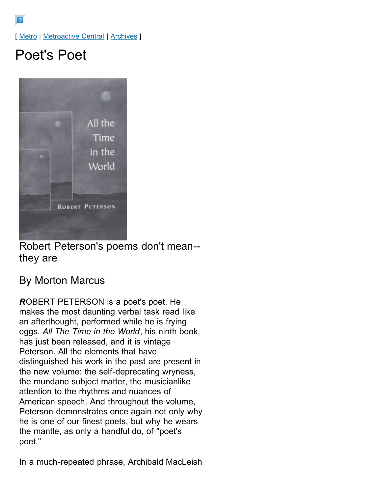[ [Metro](http://www.metroactive.com/papers/metro/05.02.96/index.html) | [Metroactive Central](http://www.metroactive.com/index.html) | [Archives](http://www.metroactive.com/papers/metro/archives.html) ]

## Poet's Poet



Robert Peterson's poems don't mean- they are

## By Morton Marcus

*R*OBERT PETERSON is a poet's poet. He makes the most daunting verbal task read like an afterthought, performed while he is frying eggs. *All The Time in the World*, his ninth book, has just been released, and it is vintage Peterson. All the elements that have distinguished his work in the past are present in the new volume: the self-deprecating wryness, the mundane subject matter, the musicianlike attention to the rhythms and nuances of American speech. And throughout the volume, Peterson demonstrates once again not only why he is one of our finest poets, but why he wears the mantle, as only a handful do, of "poet's poet."

In a much-repeated phrase, Archibald MacLeish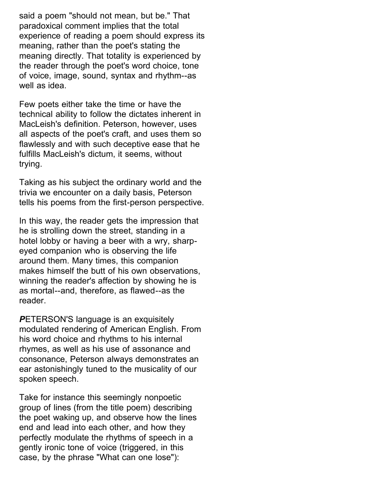said a poem "should not mean, but be." That paradoxical comment implies that the total experience of reading a poem should express its meaning, rather than the poet's stating the meaning directly. That totality is experienced by the reader through the poet's word choice, tone of voice, image, sound, syntax and rhythm--as well as idea.

Few poets either take the time or have the technical ability to follow the dictates inherent in MacLeish's definition. Peterson, however, uses all aspects of the poet's craft, and uses them so flawlessly and with such deceptive ease that he fulfills MacLeish's dictum, it seems, without trying.

Taking as his subject the ordinary world and the trivia we encounter on a daily basis, Peterson tells his poems from the first-person perspective.

In this way, the reader gets the impression that he is strolling down the street, standing in a hotel lobby or having a beer with a wry, sharpeyed companion who is observing the life around them. Many times, this companion makes himself the butt of his own observations, winning the reader's affection by showing he is as mortal--and, therefore, as flawed--as the reader.

*P*ETERSON'S language is an exquisitely modulated rendering of American English. From his word choice and rhythms to his internal rhymes, as well as his use of assonance and consonance, Peterson always demonstrates an ear astonishingly tuned to the musicality of our spoken speech.

Take for instance this seemingly nonpoetic group of lines (from the title poem) describing the poet waking up, and observe how the lines end and lead into each other, and how they perfectly modulate the rhythms of speech in a gently ironic tone of voice (triggered, in this case, by the phrase "What can one lose"):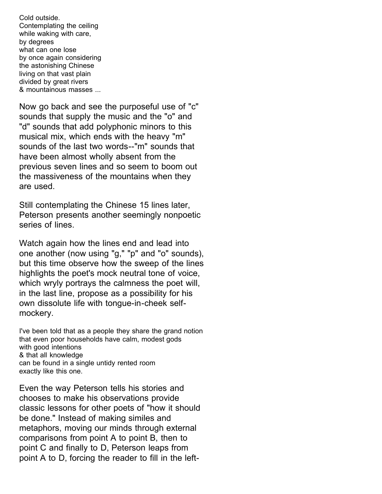Cold outside. Contemplating the ceiling while waking with care, by degrees what can one lose by once again considering the astonishing Chinese living on that vast plain divided by great rivers & mountainous masses ...

Now go back and see the purposeful use of "c" sounds that supply the music and the "o" and "d" sounds that add polyphonic minors to this musical mix, which ends with the heavy "m" sounds of the last two words--"m" sounds that have been almost wholly absent from the previous seven lines and so seem to boom out the massiveness of the mountains when they are used.

Still contemplating the Chinese 15 lines later, Peterson presents another seemingly nonpoetic series of lines.

Watch again how the lines end and lead into one another (now using "g," "p" and "o" sounds), but this time observe how the sweep of the lines highlights the poet's mock neutral tone of voice, which wryly portrays the calmness the poet will, in the last line, propose as a possibility for his own dissolute life with tongue-in-cheek selfmockery.

I've been told that as a people they share the grand notion that even poor households have calm, modest gods with good intentions & that all knowledge can be found in a single untidy rented room exactly like this one.

Even the way Peterson tells his stories and chooses to make his observations provide classic lessons for other poets of "how it should be done." Instead of making similes and metaphors, moving our minds through external comparisons from point A to point B, then to point C and finally to D, Peterson leaps from point A to D, forcing the reader to fill in the left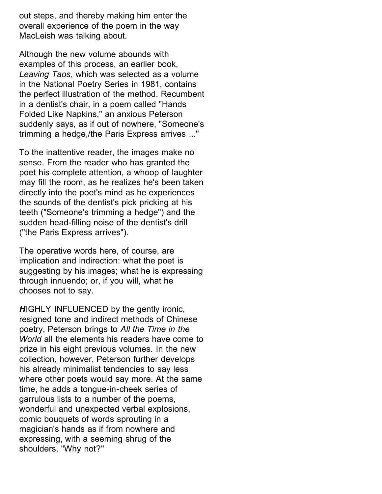out steps, and thereby making him enter the overall experience of the poem in the way MacLeish was talking about.

Although the new volume abounds with examples of this process, an earlier book, *Leaving Taos*, which was selected as a volume in the National Poetry Series in 1981, contains the perfect illustration of the method. Recumbent in a dentist's chair, in a poem called "Hands Folded Like Napkins," an anxious Peterson suddenly says, as if out of nowhere, "Someone's trimming a hedge,/the Paris Express arrives ..."

To the inattentive reader, the images make no sense. From the reader who has granted the poet his complete attention, a whoop of laughter may fill the room, as he realizes he's been taken directly into the poet's mind as he experiences the sounds of the dentist's pick pricking at his teeth ("Someone's trimming a hedge") and the sudden head-filling noise of the dentist's drill ("the Paris Express arrives").

The operative words here, of course, are implication and indirection: what the poet is suggesting by his images; what he is expressing through innuendo; or, if you will, what he chooses not to say.

*H*IGHLY INFLUENCED by the gently ironic, resigned tone and indirect methods of Chinese poetry, Peterson brings to *All the Time in the World* all the elements his readers have come to prize in his eight previous volumes. In the new collection, however, Peterson further develops his already minimalist tendencies to say less where other poets would say more. At the same time, he adds a tongue-in-cheek series of garrulous lists to a number of the poems, wonderful and unexpected verbal explosions, comic bouquets of words sprouting in a magician's hands as if from nowhere and expressing, with a seeming shrug of the shoulders, "Why not?"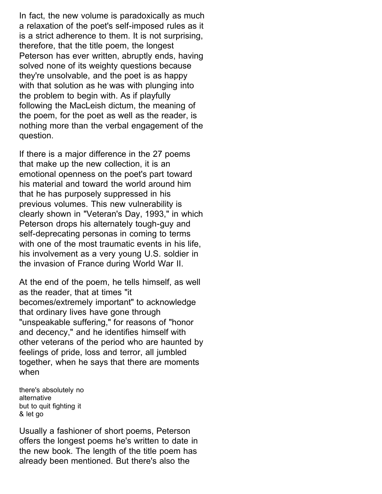In fact, the new volume is paradoxically as much a relaxation of the poet's self-imposed rules as it is a strict adherence to them. It is not surprising, therefore, that the title poem, the longest Peterson has ever written, abruptly ends, having solved none of its weighty questions because they're unsolvable, and the poet is as happy with that solution as he was with plunging into the problem to begin with. As if playfully following the MacLeish dictum, the meaning of the poem, for the poet as well as the reader, is nothing more than the verbal engagement of the question.

If there is a major difference in the 27 poems that make up the new collection, it is an emotional openness on the poet's part toward his material and toward the world around him that he has purposely suppressed in his previous volumes. This new vulnerability is clearly shown in "Veteran's Day, 1993," in which Peterson drops his alternately tough-guy and self-deprecating personas in coming to terms with one of the most traumatic events in his life, his involvement as a very young U.S. soldier in the invasion of France during World War II.

At the end of the poem, he tells himself, as well as the reader, that at times "it becomes/extremely important" to acknowledge that ordinary lives have gone through "unspeakable suffering," for reasons of "honor and decency," and he identifies himself with other veterans of the period who are haunted by feelings of pride, loss and terror, all jumbled together, when he says that there are moments when

there's absolutely no alternative but to quit fighting it & let go

Usually a fashioner of short poems, Peterson offers the longest poems he's written to date in the new book. The length of the title poem has already been mentioned. But there's also the